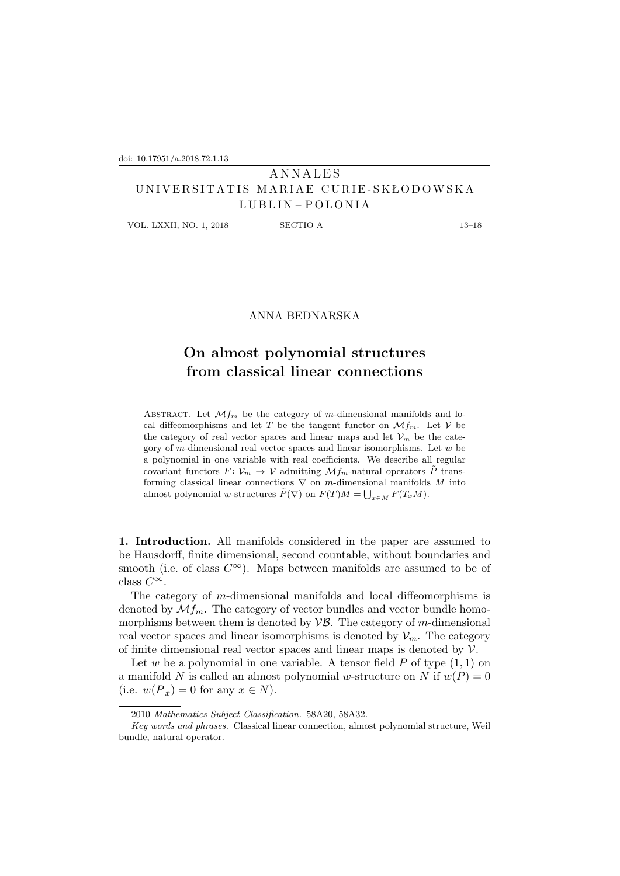## **ANNALES** U N I V E R S I T A T I S M A R I A E C U R I E - S K Ł O D OW S K A LUBLIN – POLONIA

VOL. LXXII, NO. 1, 2018 SECTIO A 13–18

## ANNA BEDNARSKA

## **On almost polynomial structures from classical linear connections**

ABSTRACT. Let  $\mathcal{M}_{m}$  be the category of m-dimensional manifolds and local diffeomorphisms and let T be the tangent functor on  $\mathcal{M}_{m}$ . Let V be the category of real vector spaces and linear maps and let  $\mathcal{V}_m$  be the category of m-dimensional real vector spaces and linear isomorphisms. Let  $w$  be a polynomial in one variable with real coefficients. We describe all regular covariant functors  $F: \mathcal{V}_m \to \mathcal{V}$  admitting  $\mathcal{M}f_m$ -natural operators  $\tilde{P}$  transforming classical linear connections  $\nabla$  on m-dimensional manifolds M into almost polynomial w-structures  $\tilde{P}(\nabla)$  on  $F(T)M = \bigcup_{x \in M} F(T_xM)$ .

**1. Introduction.** All manifolds considered in the paper are assumed to be Hausdorff, finite dimensional, second countable, without boundaries and smooth (i.e. of class  $C^{\infty}$ ). Maps between manifolds are assumed to be of class  $C^{\infty}$ .

The category of m-dimensional manifolds and local diffeomorphisms is denoted by  $\mathcal{M}_{m}$ . The category of vector bundles and vector bundle homomorphisms between them is denoted by  $\mathcal{VB}$ . The category of m-dimensional real vector spaces and linear isomorphisms is denoted by  $\mathcal{V}_m$ . The category of finite dimensional real vector spaces and linear maps is denoted by  $\mathcal V$ .

Let w be a polynomial in one variable. A tensor field  $P$  of type  $(1, 1)$  on a manifold N is called an almost polynomial w-structure on N if  $w(P) = 0$ (i.e.  $w(P_{x}) = 0$  for any  $x \in N$ ).

<sup>2010</sup> *Mathematics Subject Classification.* 58A20, 58A32.

*Key words and phrases.* Classical linear connection, almost polynomial structure, Weil bundle, natural operator.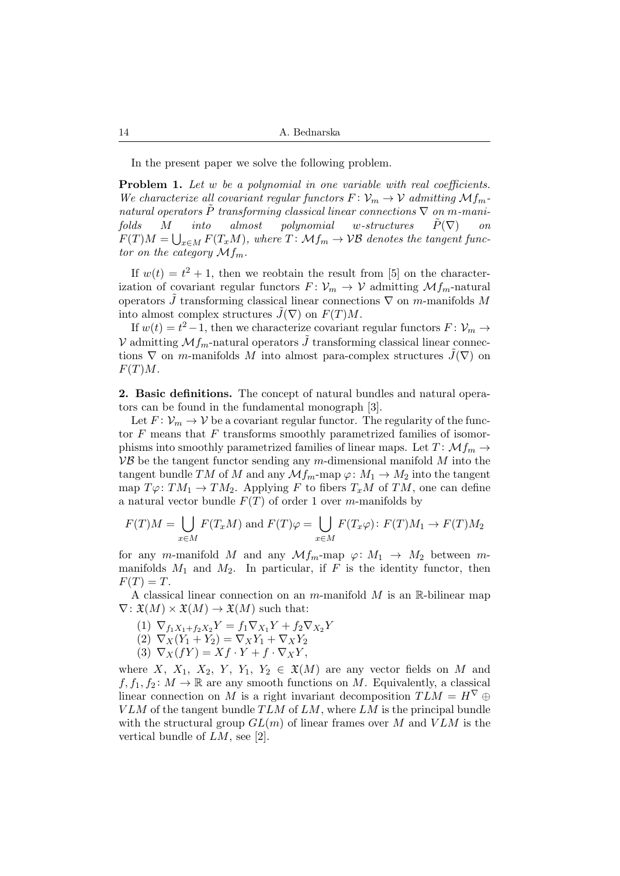In the present paper we solve the following problem.

**Problem 1.** *Let* w *be a polynomial in one variable with real coefficients. We characterize all covariant regular functors*  $F: V_m \to V$  *admitting*  $Mf_m$  $natural$  *operators*  $\overline{P}$  *transforming classical linear connections*  $\nabla$  *on m*-mani*folds* M *into almost polynomial* w*-structures* P˜(∇) *on*  $F(T)M = \bigcup_{x \in M} F(T_xM)$ , where  $T \colon \mathcal{M} f_m \to \mathcal{VB}$  denotes the tangent func*tor on the category*  $Mf_m$ .

If  $w(t) = t^2 + 1$ , then we reobtain the result from [5] on the characterization of covariant regular functors  $F: \mathcal{V}_m \to \mathcal{V}$  admitting  $\mathcal{M}_{m}$ -natural operators  $\tilde{J}$  transforming classical linear connections  $\nabla$  on m-manifolds M into almost complex structures  $\tilde{J}(\nabla)$  on  $F(T)M$ .

If  $w(t) = t^2 - 1$ , then we characterize covariant regular functors  $F: \mathcal{V}_m \to$ V admitting  $Mf_m$ -natural operators  $\tilde{J}$  transforming classical linear connections  $\nabla$  on *m*-manifolds M into almost para-complex structures  $\tilde{J}(\nabla)$  on  $F(T)M$ .

**2. Basic definitions.** The concept of natural bundles and natural operators can be found in the fundamental monograph [3].

Let  $F: \mathcal{V}_m \to \mathcal{V}$  be a covariant regular functor. The regularity of the functor  $F$  means that  $F$  transforms smoothly parametrized families of isomorphisms into smoothly parametrized families of linear maps. Let  $T: \mathcal{M}_{Im} \rightarrow$  $\mathcal{VB}$  be the tangent functor sending any m-dimensional manifold M into the tangent bundle TM of M and any  $\mathcal{M}_{m}$ -map  $\varphi: M_1 \to M_2$  into the tangent map  $T\varphi: TM_1 \to TM_2$ . Applying F to fibers  $T_xM$  of TM, one can define a natural vector bundle  $F(T)$  of order 1 over m-manifolds by

$$
F(T)M = \bigcup_{x \in M} F(T_xM) \text{ and } F(T)\varphi = \bigcup_{x \in M} F(T_x\varphi) : F(T)M_1 \to F(T)M_2
$$

for any m-manifold M and any  $\mathcal{M}_{m}$ -map  $\varphi: M_1 \to M_2$  between mmanifolds  $M_1$  and  $M_2$ . In particular, if F is the identity functor, then  $F(T) = T.$ 

A classical linear connection on an m-manifold  $M$  is an R-bilinear map  $\nabla: \mathfrak{X}(M) \times \mathfrak{X}(M) \to \mathfrak{X}(M)$  such that:

$$
(1) \ \nabla_{f_1 X_1 + f_2 X_2} Y = f_1 \nabla_{X_1} Y + f_2 \nabla_{X_2} Y
$$

$$
(2) \nabla_X (Y_1 + Y_2) = \nabla_X Y_1 + \nabla_X Y_2
$$

(3)  $\nabla_X(fY) = Xf \cdot Y + f \cdot \nabla_X Y,$ 

where X,  $X_1$ ,  $X_2$ ,  $Y$ ,  $Y_1$ ,  $Y_2 \in \mathfrak{X}(M)$  are any vector fields on M and  $f, f_1, f_2 \colon M \to \mathbb{R}$  are any smooth functions on M. Equivalently, a classical linear connection on M is a right invariant decomposition  $TLM = H^{\nabla} \oplus$  $VLM$  of the tangent bundle  $TLM$  of  $LM$ , where  $LM$  is the principal bundle with the structural group  $GL(m)$  of linear frames over M and  $VLM$  is the vertical bundle of LM, see [2].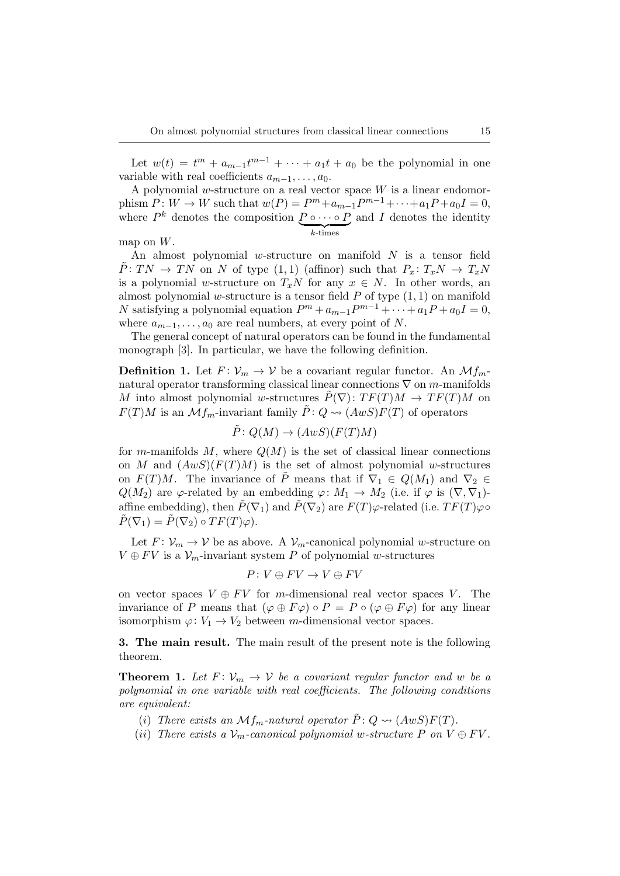Let  $w(t) = t^m + a_{m-1}t^{m-1} + \cdots + a_1t + a_0$  be the polynomial in one variable with real coefficients  $a_{m-1}, \ldots, a_0$ .

A polynomial w-structure on a real vector space  $W$  is a linear endomorphism  $P: W \to W$  such that  $w(P) = P^m + a_{m-1}P^{m-1} + \cdots + a_1P + a_0I = 0$ , where  $P^k$  denotes the composition  $P \circ \cdots \circ P$  and I denotes the identity  $k$ -times

map on  $W$ .

An almost polynomial w-structure on manifold  $N$  is a tensor field  $\tilde{P}: TN \to TN$  on N of type  $(1,1)$  (affinor) such that  $P_x: T_xN \to T_xN$ is a polynomial w-structure on  $T_xN$  for any  $x \in N$ . In other words, an almost polynomial w-structure is a tensor field  $P$  of type  $(1, 1)$  on manifold N satisfying a polynomial equation  $P^m + a_{m-1}P^{m-1} + \cdots + a_1P + a_0I = 0$ , where  $a_{m-1}, \ldots, a_0$  are real numbers, at every point of N.

The general concept of natural operators can be found in the fundamental monograph [3]. In particular, we have the following definition.

**Definition 1.** Let  $F: V_m \to V$  be a covariant regular functor. An  $Mf_m$ natural operator transforming classical linear connections  $\nabla$  on m-manifolds M into almost polynomial w-structures  $\tilde{P}(\nabla): TF(T)M \to TF(T)M$  on  $F(T)M$  is an  $\mathcal{M}_{m}$ -invariant family  $\tilde{P}: Q \rightsquigarrow (AwS)F(T)$  of operators

$$
\tilde{P}: Q(M) \to (AwS)(F(T)M)
$$

for m-manifolds M, where  $Q(M)$  is the set of classical linear connections on M and  $(AwS)(F(T)M)$  is the set of almost polynomial w-structures on  $F(T)M$ . The invariance of  $\tilde{P}$  means that if  $\nabla_1 \in Q(M_1)$  and  $\nabla_2 \in$  $Q(M_2)$  are  $\varphi$ -related by an embedding  $\varphi \colon M_1 \to M_2$  (i.e. if  $\varphi$  is  $(\nabla, \nabla_1)$ ) affine embedding), then  $\tilde{P}(\nabla_1)$  and  $\tilde{P}(\nabla_2)$  are  $F(T)\varphi$ -related (i.e.  $TF(T)\varphi\circ$  $\tilde{P}(\nabla_1) = \tilde{P}(\nabla_2) \circ TF(T)\varphi$ .

Let  $F: \mathcal{V}_m \to \mathcal{V}$  be as above. A  $\mathcal{V}_m$ -canonical polynomial w-structure on  $V \oplus FV$  is a  $\mathcal{V}_m$ -invariant system P of polynomial w-structures

$$
P\colon V\oplus FV\to V\oplus FV
$$

on vector spaces  $V \oplus FV$  for m-dimensional real vector spaces V. The invariance of P means that  $(\varphi \oplus F\varphi) \circ P = P \circ (\varphi \oplus F\varphi)$  for any linear isomorphism  $\varphi: V_1 \to V_2$  between m-dimensional vector spaces.

**3. The main result.** The main result of the present note is the following theorem.

**Theorem 1.** Let  $F: V_m \to V$  be a covariant regular functor and w be a *polynomial in one variable with real coefficients. The following conditions are equivalent:*

- (i) There exists an  $\mathcal{M}_{Im}$ -natural operator  $\tilde{P}: Q \rightsquigarrow (AwS)F(T)$ .
- (ii) There exists a  $\mathcal{V}_m$ -canonical polynomial w-structure P on  $V \oplus FV$ .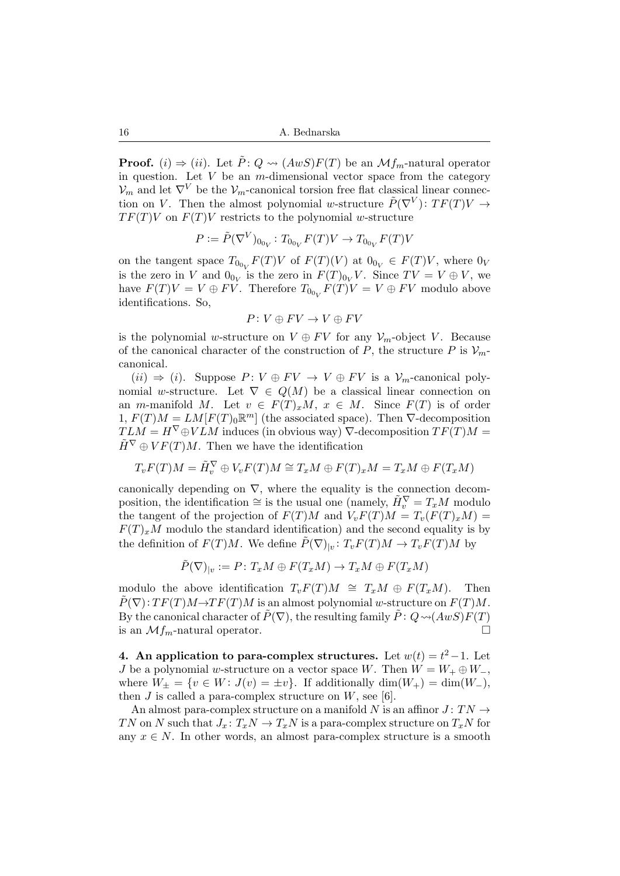**Proof.** (i)  $\Rightarrow$  (ii). Let  $\tilde{P}: Q \rightsquigarrow (AwS)F(T)$  be an  $\mathcal{M}f_m$ -natural operator in question. Let  $V$  be an  $m$ -dimensional vector space from the category  $\mathcal{V}_m$  and let  $\nabla^V$  be the  $\mathcal{V}_m$ -canonical torsion free flat classical linear connection on V. Then the almost polynomial w-structure  $\tilde{P}(\nabla^V)$ :  $TF(T)V \rightarrow$  $TF(T)V$  on  $F(T)V$  restricts to the polynomial w-structure

$$
P := \tilde{P}(\nabla^V)_{0_{0_V}} : T_{0_{0_V}} F(T) V \to T_{0_{0_V}} F(T) V
$$

on the tangent space  $T_{0_{0_V}}F(T)V$  of  $F(T)(V)$  at  $0_{0_V} \in F(T)V$ , where  $0_V$ is the zero in V and  $0_{0_V}$  is the zero in  $F(T)_{0_V}V$ . Since  $TV = V \oplus V$ , we have  $F(T)V = V \oplus FV$ . Therefore  $T_{00_V}F(T)V = V \oplus FV$  modulo above identifications. So,

$$
P\colon V\oplus FV\to V\oplus FV
$$

is the polynomial w-structure on  $V \oplus FV$  for any  $\mathcal{V}_m$ -object V. Because of the canonical character of the construction of P, the structure P is  $\mathcal{V}_m$ canonical.

 $(ii) \Rightarrow (i)$ . Suppose  $P: V \oplus FV \rightarrow V \oplus FV$  is a  $\mathcal{V}_m$ -canonical polynomial w-structure. Let  $\nabla \in Q(M)$  be a classical linear connection on an m-manifold M. Let  $v \in F(T)_xM$ ,  $x \in M$ . Since  $F(T)$  is of order  $1, F(T)M = LM[F(T)_0\mathbb{R}^m]$  (the associated space). Then  $\nabla$ -decomposition  $TLM = H^{\nabla} \oplus VLM$  induces (in obvious way)  $\nabla$ -decomposition  $TF(T)M =$  $\tilde{H}^{\nabla} \oplus VF(T)M$ . Then we have the identification

$$
T_vF(T)M = \tilde{H}_v^{\nabla} \oplus V_vF(T)M \cong T_xM \oplus F(T)_xM = T_xM \oplus F(T_xM)
$$

canonically depending on  $\nabla$ , where the equality is the connection decomposition, the identification  $\cong$  is the usual one (namely,  $\tilde{H}_v^{\nabla} = T_x M$  modulo the tangent of the projection of  $F(T)M$  and  $V_vF(T)M = T_v(F(T)_xM)$  $F(T)<sub>x</sub>M$  modulo the standard identification) and the second equality is by the definition of  $F(T)M$ . We define  $\tilde{P}(\nabla)_{|v}: T_vF(T)M \to T_vF(T)M$  by

$$
\tilde{P}(\nabla)_{|v}:=P\colon T_xM\oplus F(T_xM)\to T_xM\oplus F(T_xM)
$$

modulo the above identification  $T_vF(T)M \cong T_xM \oplus F(T_xM)$ . Then  $P(\nabla): TF(T)M \rightarrow TF(T)M$  is an almost polynomial w-structure on  $F(T)M$ . By the canonical character of  $\tilde{P}(\nabla)$ , the resulting family  $\tilde{P}: Q \rightsquigarrow (AwS)F(T)$ is an  $\mathcal{M}$ *f*<sub>m</sub>-natural operator.

**4.** An application to para-complex structures. Let  $w(t) = t^2 - 1$ . Let J be a polynomial w-structure on a vector space W. Then  $W = W_+ \oplus W_-,$ where  $W_{\pm} = \{v \in W : J(v) = \pm v\}$ . If additionally  $\dim(W_{+}) = \dim(W_{-}),$ then J is called a para-complex structure on  $W$ , see [6].

An almost para-complex structure on a manifold N is an affinor  $J: TN \rightarrow$ TN on N such that  $J_x: T_xN \to T_xN$  is a para-complex structure on  $T_xN$  for any  $x \in N$ . In other words, an almost para-complex structure is a smooth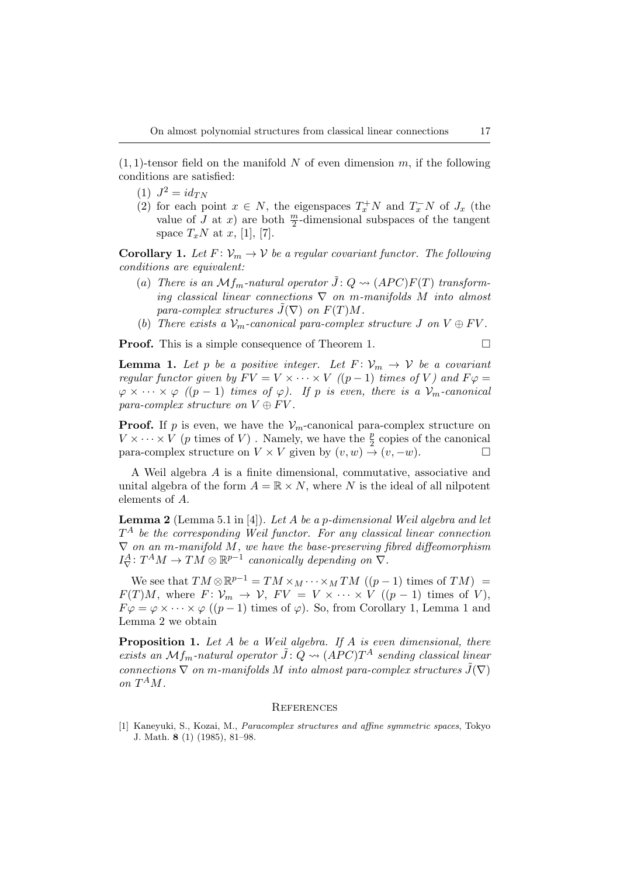$(1, 1)$ -tensor field on the manifold N of even dimension m, if the following conditions are satisfied:

- $(1)$   $J^2 = id_{TN}$
- (2) for each point  $x \in N$ , the eigenspaces  $T_x^+N$  and  $T_x^-N$  of  $J_x$  (the value of J at x) are both  $\frac{m}{2}$ -dimensional subspaces of the tangent space  $T_xN$  at x, [1], [7].

**Corollary 1.** Let  $F: V_m \to V$  be a regular covariant functor. The following *conditions are equivalent:*

- (a) There is an  $Mf_m$ -natural operator  $\tilde{J}: Q \rightsquigarrow (APC)F(T)$  transform*ing classical linear connections* ∇ *on* m*-manifolds* M *into almost para-complex structures*  $\tilde{J}(\nabla)$  *on*  $F(T)M$ .
- (b) There exists a  $V_m$ -canonical para-complex structure J on  $V \oplus FV$ .

**Proof.** This is a simple consequence of Theorem 1.

**Lemma 1.** Let p be a positive integer. Let  $F: V_m \to V$  be a covariant *regular functor given by*  $F V = V \times \cdots \times V$  *((p-1) times of* V) and  $F \varphi =$  $\varphi \times \cdots \times \varphi$  *((p-1) times of*  $\varphi$ *). If p is even, there is a*  $\mathcal{V}_m$ -canonical *para-complex structure on*  $V \oplus FV$ .

**Proof.** If p is even, we have the  $V_m$ -canonical para-complex structure on  $V \times \cdots \times V$  (*p* times of *V*). Namely, we have the  $\frac{p}{2}$  copies of the canonical para-complex structure on  $V \times V$  given by  $(v, w) \rightarrow (v, -w)$ .

A Weil algebra A is a finite dimensional, commutative, associative and unital algebra of the form  $A = \mathbb{R} \times N$ , where N is the ideal of all nilpotent elements of A.

**Lemma 2** (Lemma 5.1 in [4]). *Let* A *be a* p*-dimensional Weil algebra and let* T <sup>A</sup> *be the corresponding Weil functor. For any classical linear connection* ∇ *on an* m*-manifold* M*, we have the base-preserving fibred diffeomorphism*  $I_{\nabla}^A\colon T^A M \to TM \otimes \mathbb{R}^{p-1}$  canonically depending on  $\overline{\nabla}$ .

We see that  $TM \otimes \mathbb{R}^{p-1} = TM \times_M \cdots \times_M TM \;((p-1)$  times of  $TM) =$  $F(T)M$ , where  $F: \mathcal{V}_m \to \mathcal{V}$ ,  $FV = V \times \cdots \times V$   $((p-1)$  times of V),  $F\varphi = \varphi \times \cdots \times \varphi \; ((p-1) \text{ times of } \varphi)$ . So, from Corollary 1, Lemma 1 and Lemma 2 we obtain

**Proposition 1.** *Let* A *be a Weil algebra. If* A *is even dimensional, there*  $exists$  an  $Mf_m$ -natural operator  $\tilde{J}: Q \rightsquigarrow (APC)T^A$  sending classical linear *connections*  $\nabla$  *on m*-manifolds M into almost para-complex structures  $\tilde{J}(\nabla)$ on  $T^A M$ .

## **REFERENCES**

[1] Kaneyuki, S., Kozai, M., *Paracomplex structures and affine symmetric spaces*, Tokyo J. Math. **8** (1) (1985), 81–98.